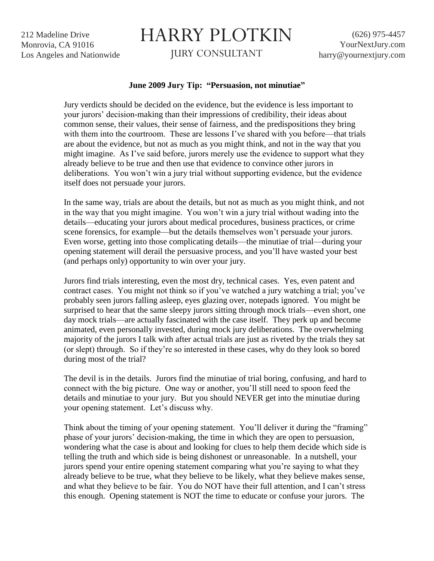212 Madeline Drive Monrovia, CA 91016 Los Angeles and Nationwide

## HARRY PLOTKIN

JURY CONSULTANT

## **June 2009 Jury Tip: "Persuasion, not minutiae"**

Jury verdicts should be decided on the evidence, but the evidence is less important to your jurors' decision-making than their impressions of credibility, their ideas about common sense, their values, their sense of fairness, and the predispositions they bring with them into the courtroom. These are lessons I've shared with you before—that trials are about the evidence, but not as much as you might think, and not in the way that you might imagine. As I've said before, jurors merely use the evidence to support what they already believe to be true and then use that evidence to convince other jurors in deliberations. You won't win a jury trial without supporting evidence, but the evidence itself does not persuade your jurors.

In the same way, trials are about the details, but not as much as you might think, and not in the way that you might imagine. You won't win a jury trial without wading into the details—educating your jurors about medical procedures, business practices, or crime scene forensics, for example—but the details themselves won't persuade your jurors. Even worse, getting into those complicating details—the minutiae of trial—during your opening statement will derail the persuasive process, and you'll have wasted your best (and perhaps only) opportunity to win over your jury.

Jurors find trials interesting, even the most dry, technical cases. Yes, even patent and contract cases. You might not think so if you've watched a jury watching a trial; you've probably seen jurors falling asleep, eyes glazing over, notepads ignored. You might be surprised to hear that the same sleepy jurors sitting through mock trials—even short, one day mock trials—are actually fascinated with the case itself. They perk up and become animated, even personally invested, during mock jury deliberations. The overwhelming majority of the jurors I talk with after actual trials are just as riveted by the trials they sat (or slept) through. So if they're so interested in these cases, why do they look so bored during most of the trial?

The devil is in the details. Jurors find the minutiae of trial boring, confusing, and hard to connect with the big picture. One way or another, you'll still need to spoon feed the details and minutiae to your jury. But you should NEVER get into the minutiae during your opening statement. Let's discuss why.

Think about the timing of your opening statement. You'll deliver it during the "framing" phase of your jurors' decision-making, the time in which they are open to persuasion, wondering what the case is about and looking for clues to help them decide which side is telling the truth and which side is being dishonest or unreasonable. In a nutshell, your jurors spend your entire opening statement comparing what you're saying to what they already believe to be true, what they believe to be likely, what they believe makes sense, and what they believe to be fair. You do NOT have their full attention, and I can't stress this enough. Opening statement is NOT the time to educate or confuse your jurors. The